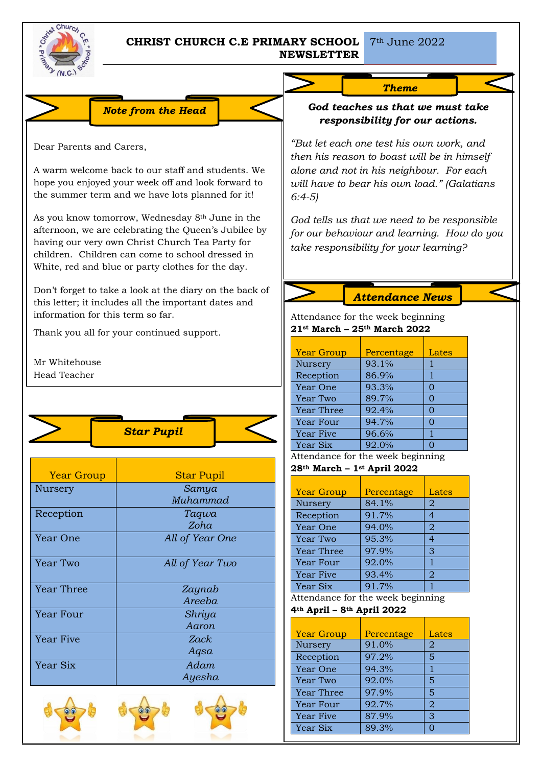

## **CHRIST CHURCH C.E PRIMARY SCHOOL** 7<sup>th</sup> June 2022 **NEWSLETTER**

## *Theme*

## *God teaches us that we must take responsibility for our actions.*

*"But let each one test his own work, and then his reason to boast will be in himself alone and not in his neighbour. For each will have to bear his own load." (Galatians 6:4-5)*

*God tells us that we need to be responsible for our behaviour and learning. How do you take responsibility for your learning?*

*Attendance News*

Attendance for the week beginning **21st March – 25th March 2022**

| <b>Year Group</b> | Percentage | Lates |
|-------------------|------------|-------|
| Nursery           | 93.1%      |       |
| Reception         | 86.9%      |       |
| Year One          | 93.3%      | O     |
| Year Two          | 89.7%      | ∩     |
| <b>Year Three</b> | 92.4%      | O     |
| Year Four         | 94.7%      | O     |
| Year Five         | 96.6%      |       |
| Year Six          | 92.0%      |       |

Attendance for the week beginning

```
28th March – 1st April 2022
```

| <b>Year Group</b> | Percentage | Lates |
|-------------------|------------|-------|
| Nursery           | 84.1%      | 2     |
| Reception         | 91.7%      | 4     |
| Year One          | 94.0%      | 2     |
| Year Two          | 95.3%      | 4     |
| <b>Year Three</b> | 97.9%      | 3     |
| Year Four         | 92.0%      | 1     |
| <b>Year Five</b>  | 93.4%      | 2     |
| Year Six          | 91.7%      |       |

Attendance for the week beginning

**4th April – 8th April 2022**

| <b>Year Group</b> | Percentage | Lates |
|-------------------|------------|-------|
| Nursery           | 91.0%      | 2     |
| Reception         | 97.2%      | 5     |
| Year One          | 94.3%      |       |
| Year Two          | 92.0%      | 5     |
| <b>Year Three</b> | 97.9%      | 5     |
| <b>Year Four</b>  | 92.7%      | 2     |
| <b>Year Five</b>  | 87.9%      | 3     |
| Year Six          | 89.3%      |       |

Dear Parents and Carers,

A warm welcome back to our staff and students. We hope you enjoyed your week off and look forward to the summer term and we have lots planned for it!

*Note from the Head*

As you know tomorrow, Wednesday 8th June in the afternoon, we are celebrating the Queen's Jubilee by having our very own Christ Church Tea Party for children. Children can come to school dressed in White, red and blue or party clothes for the day.

Don't forget to take a look at the diary on the back of this letter; it includes all the important dates and information for this term so far.

Thank you all for your continued support.

Mr Whitehouse Head Teacher



| <b>Year Group</b> | <b>Star Pupil</b> |  |
|-------------------|-------------------|--|
| Nursery           | Samya             |  |
|                   | Muhammad          |  |
| Reception         | Taqwa             |  |
|                   | Zoha              |  |
| Year One          | All of Year One   |  |
|                   |                   |  |
| Year Two          | All of Year Two   |  |
|                   |                   |  |
| Year Three        | Zaynab            |  |
|                   | Areeba            |  |
| Year Four         | Shriya            |  |
|                   | Aaron             |  |
| <b>Year Five</b>  | Zack              |  |
|                   | Aqsa              |  |
| Year Six          | Adam              |  |
|                   | Ayesha            |  |
|                   |                   |  |